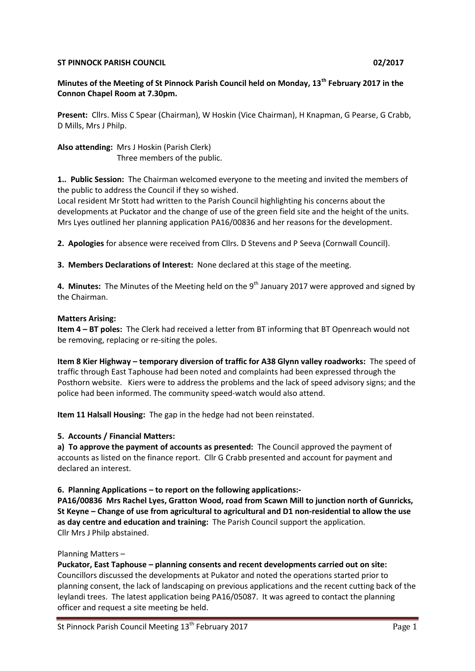#### **ST PINNOCK PARISH COUNCIL DESCRIPTION OF A SET PINNOCK PARISH COUNCIL**

# **Minutes of the Meeting of St Pinnock Parish Council held on Monday, 13th February 2017 in the Connon Chapel Room at 7.30pm.**

**Present:** Cllrs. Miss C Spear (Chairman), W Hoskin (Vice Chairman), H Knapman, G Pearse, G Crabb, D Mills, Mrs J Philp.

**Also attending:** Mrs J Hoskin (Parish Clerk) Three members of the public.

**1.. Public Session:** The Chairman welcomed everyone to the meeting and invited the members of the public to address the Council if they so wished.

Local resident Mr Stott had written to the Parish Council highlighting his concerns about the developments at Puckator and the change of use of the green field site and the height of the units. Mrs Lyes outlined her planning application PA16/00836 and her reasons for the development.

**2. Apologies** for absence were received from Cllrs. D Stevens and P Seeva (Cornwall Council).

**3. Members Declarations of Interest:** None declared at this stage of the meeting.

4. Minutes: The Minutes of the Meeting held on the 9<sup>th</sup> January 2017 were approved and signed by the Chairman.

### **Matters Arising:**

**Item 4 – BT poles:** The Clerk had received a letter from BT informing that BT Openreach would not be removing, replacing or re-siting the poles.

**Item 8 Kier Highway – temporary diversion of traffic for A38 Glynn valley roadworks:** The speed of traffic through East Taphouse had been noted and complaints had been expressed through the Posthorn website. Kiers were to address the problems and the lack of speed advisory signs; and the police had been informed. The community speed-watch would also attend.

**Item 11 Halsall Housing:** The gap in the hedge had not been reinstated.

## **5. Accounts / Financial Matters:**

**a) To approve the payment of accounts as presented:** The Council approved the payment of accounts as listed on the finance report. Cllr G Crabb presented and account for payment and declared an interest.

**6. Planning Applications – to report on the following applications:-**

**PA16/00836 Mrs Rachel Lyes, Gratton Wood, road from Scawn Mill to junction north of Gunricks, St Keyne – Change of use from agricultural to agricultural and D1 non-residential to allow the use as day centre and education and training:** The Parish Council support the application. Cllr Mrs J Philp abstained.

#### Planning Matters –

**Puckator, East Taphouse – planning consents and recent developments carried out on site:**  Councillors discussed the developments at Pukator and noted the operations started prior to planning consent, the lack of landscaping on previous applications and the recent cutting back of the leylandi trees. The latest application being PA16/05087. It was agreed to contact the planning officer and request a site meeting be held.